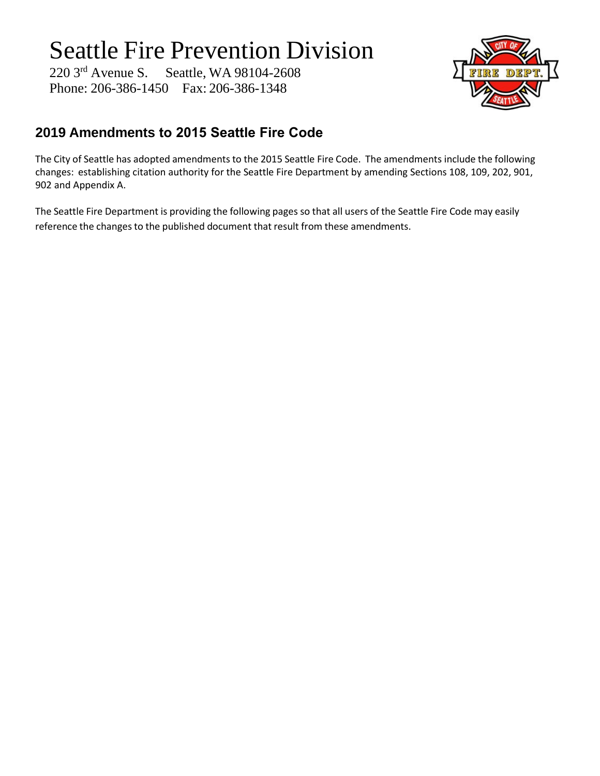# Seattle Fire Prevention Division

220 3rd Avenue S. Seattle, WA 98104-2608 Phone: 206-386-1450 Fax: 206-386-1348



# **2019 Amendments to 2015 Seattle Fire Code**

The City of Seattle has adopted amendments to the 2015 Seattle Fire Code. The amendments include the following changes: establishing citation authority for the Seattle Fire Department by amending Sections 108, 109, 202, 901, 902 and Appendix A.

The Seattle Fire Department is providing the following pages so that all users of the Seattle Fire Code may easily reference the changes to the published document that result from these amendments.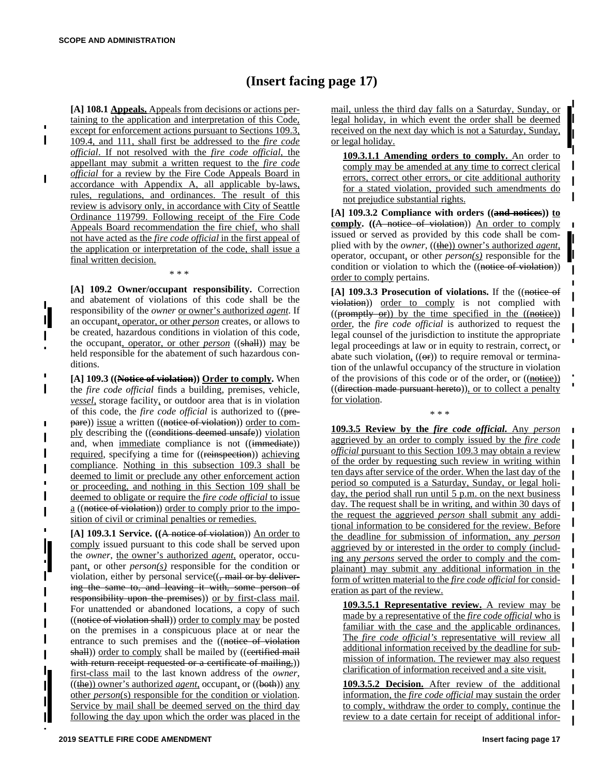Ī

I

ľ

## **(Insert facing page 17)**

**[A] 108.1 Appeals.** Appeals from decisions or actions pertaining to the application and interpretation of this Code, except for enforcement actions pursuant to Sections 109.3, 109.4, and 111, shall first be addressed to the *fire code official*. If not resolved with the *fire code official*, the appellant may submit a written request to the *fire code official* for a review by the Fire Code Appeals Board in

accordance with Appendix A, all applicable by-laws, rules, regulations, and ordinances. The result of this review is advisory only, in accordance with City of Seattle Ordinance 119799. Following receipt of the Fire Code Appeals Board recommendation the fire chief, who shall not have acted as the *fire code official* in the first appeal of the application or interpretation of the code, shall issue a final written decision.

\* \* \*

**[A] 109.2 Owner/occupant responsibility.** Correction and abatement of violations of this code shall be the responsibility of the *owner* or owner's authorized *agent*. If an occupant, operator, or other *person* creates, or allows to be created, hazardous conditions in violation of this code, the occupant, operator, or other *person* ((shall)) may be held responsible for the abatement of such hazardous conditions.

[A] 109.3 ((Notice of violation)) Order to comply. When the *fire code official* finds a building, premises, vehicle, *vessel*, storage facility, or outdoor area that is in violation of this code, the *fire code official* is authorized to ((prepare)) issue a written ((notice of violation)) order to comply describing the ((conditions deemed unsafe)) violation and, when immediate compliance is not ((immediate)) required, specifying a time for ((reinspection)) achieving compliance. Nothing in this subsection 109.3 shall be deemed to limit or preclude any other enforcement action or proceeding, and nothing in this Section 109 shall be deemed to obligate or require the *fire code official* to issue a ((notice of violation)) order to comply prior to the imposition of civil or criminal penalties or remedies.

**[A] 109.3.1 Service. ((**A notice of violation)) An order to comply issued pursuant to this code shall be served upon the *owner*, the owner's authorized *agent*, operator, occupant, or other *person(s)* responsible for the condition or violation, either by personal service $((, \text{mail or by deliver})$ ing the same to, and leaving it with, some person of responsibility upon the premises)) or by first-class mail. For unattended or abandoned locations, a copy of such ((notice of violation shall)) order to comply may be posted on the premises in a conspicuous place at or near the entrance to such premises and the ((notice of violation shall)) order to comply shall be mailed by ((eertified mail with return receipt requested or a certificate of mailing,)) first-class mail to the last known address of the *owner*, ((the)) owner's authorized *agent*, occupant, or ((both)) any other *person*(s) responsible for the condition or violation. Service by mail shall be deemed served on the third day following the day upon which the order was placed in the

mail, unless the third day falls on a Saturday, Sunday, or legal holiday, in which event the order shall be deemed received on the next day which is not a Saturday, Sunday, or legal holiday.

**109.3.1.1 Amending orders to comply.** An order to comply may be amended at any time to correct clerical errors, correct other errors, or cite additional authority for a stated violation, provided such amendments do not prejudice substantial rights.

**[A] 109.3.2 Compliance with orders ((and notices)) to comply. ((**A notice of violation)) An order to comply issued or served as provided by this code shall be complied with by the *owner*, ((the)) owner's authorized *agent*, operator, occupant, or other *person(s)* responsible for the condition or violation to which the ((notice of violation)) order to comply pertains.

[A] 109.3.3 Prosecution of violations. If the ((notice of violation)) order to comply is not complied with  $((\text{promptly}-\text{or}))$  by the time specified in the  $((\text{notice}))$ order, the *fire code official* is authorized to request the legal counsel of the jurisdiction to institute the appropriate legal proceedings at law or in equity to restrain, correct, or abate such violation,  $((\Theta \cdot \mathbf{r}))$  to require removal or termination of the unlawful occupancy of the structure in violation of the provisions of this code or of the order, or ((notice)) ((direction made pursuant hereto)), or to collect a penalty for violation.

\* \* \*

**109.3.5 Review by the** *fire code official***.** Any *person*  $\blacksquare$ aggrieved by an order to comply issued by the *fire code official* pursuant to this Section 109.3 may obtain a review of the order by requesting such review in writing within ten days after service of the order. When the last day of the period so computed is a Saturday, Sunday, or legal holiday, the period shall run until 5 p.m. on the next business day. The request shall be in writing, and within 30 days of the request the aggrieved *person* shall submit any additional information to be considered for the review. Before the deadline for submission of information, any *person* aggrieved by or interested in the order to comply (including any *persons* served the order to comply and the complainant) may submit any additional information in the form of written material to the *fire code official* for consideration as part of the review.

**109.3.5.1 Representative review.** A review may be made by a representative of the *fire code official* who is familiar with the case and the applicable ordinances. The *fire code official's* representative will review all additional information received by the deadline for submission of information. The reviewer may also request clarification of information received and a site visit.

**109.3.5.2 Decision.** After review of the additional information, the *fire code official* may sustain the order to comply, withdraw the order to comply, continue the review to a date certain for receipt of additional infor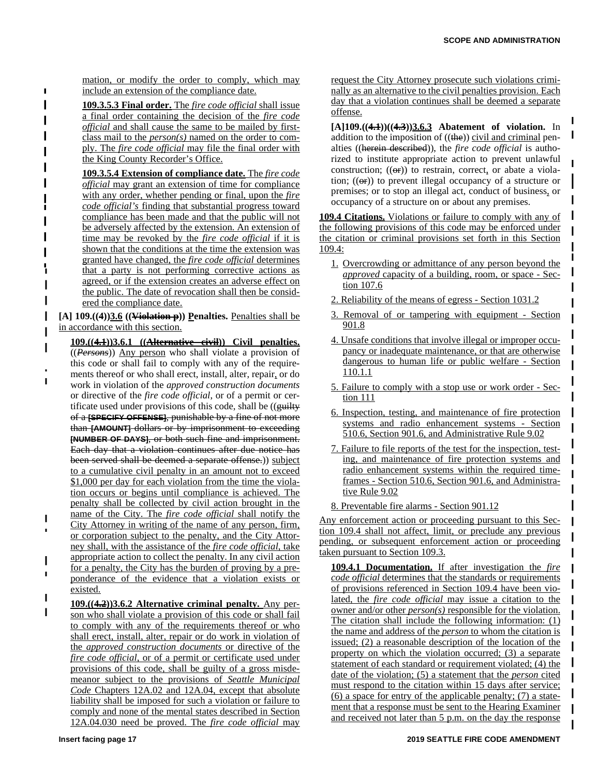mation, or modify the order to comply, which may include an extension of the compliance date.

**109.3.5.3 Final order.** The *fire code official* shall issue a final order containing the decision of the *fire code official* and shall cause the same to be mailed by firstclass mail to the *person(s)* named on the order to comply. The *fire code official* may file the final order with the King County Recorder's Office.

**109.3.5.4 Extension of compliance date.** The *fire code official* may grant an extension of time for compliance with any order, whether pending or final, upon the *fire code official's* finding that substantial progress toward compliance has been made and that the public will not be adversely affected by the extension. An extension of time may be revoked by the *fire code official* if it is shown that the conditions at the time the extension was granted have changed, the *fire code official* determines that a party is not performing corrective actions as agreed, or if the extension creates an adverse effect on the public. The date of revocation shall then be considered the compliance date.

**[A] 109.((4))3.6 ((Violation p)) Penalties.** Penalties shall be in accordance with this section.

**109.((4.1))3.6.1 ((Alternative civil)) Civil penalties.** ((*Persons*)) Any person who shall violate a provision of this code or shall fail to comply with any of the require-

- ments thereof or who shall erect, install, alter, repair, or do work in violation of the *approved construction documents* or directive of the *fire code official*, or of a permit or certificate used under provisions of this code, shall be  $(($ <del>guilty</del> of a **[SPECIFY OFFENSE]**, punishable by a fine of not more than **[AMOUNT]** dollars or by imprisonment to exceeding **[NUMBER OF DAYS]**, or both such fine and imprisonment. Each day that a violation continues after due notice has been served shall be deemed a separate offense.)) subject to a cumulative civil penalty in an amount not to exceed \$1,000 per day for each violation from the time the violation occurs or begins until compliance is achieved. The penalty shall be collected by civil action brought in the
- name of the City. The *fire code official* shall notify the I City Attorney in writing of the name of any person, firm, or corporation subject to the penalty, and the City Attorney shall, with the assistance of the *fire code official*, take
- appropriate action to collect the penalty. In any civil action I for a penalty, the City has the burden of proving by a pre-
- ponderance of the evidence that a violation exists or existed. I
- **109.((4.2))3.6.2 Alternative criminal penalty.** Any perı son who shall violate a provision of this code or shall fail to comply with any of the requirements thereof or who shall erect, install, alter, repair or do work in violation of the *approved construction documents* or directive of the *fire code official*, or of a permit or certificate used under provisions of this code, shall be guilty of a gross misdemeanor subject to the provisions of *Seattle Municipal Code* Chapters 12A.02 and 12A.04, except that absolute liability shall be imposed for such a violation or failure to comply and none of the mental states described in Section 12A.04.030 need be proved. The *fire code official* may

request the City Attorney prosecute such violations criminally as an alternative to the civil penalties provision. Each day that a violation continues shall be deemed a separate offense.

**[A]109.((4.1))((4.3))3.6.3 Abatement of violation.** In addition to the imposition of ((the)) civil and criminal penalties ((herein described)), the *fire code official* is authorized to institute appropriate action to prevent unlawful construction;  $((\theta \cdot \mathbf{r}))$  to restrain, correct, or abate a violation;  $((\theta \cdot \mathbf{r}))$  to prevent illegal occupancy of a structure or premises; or to stop an illegal act, conduct of business, or occupancy of a structure on or about any premises.

**109.4 Citations.** Violations or failure to comply with any of the following provisions of this code may be enforced under the citation or criminal provisions set forth in this Section 109.4:

- 1. Overcrowding or admittance of any person beyond the *approved* capacity of a building, room, or space - Section 107.6
- 2. Reliability of the means of egress Section 1031.2
- 3. Removal of or tampering with equipment Section 901.8
- 4. Unsafe conditions that involve illegal or improper occupancy or inadequate maintenance, or that are otherwise dangerous to human life or public welfare - Section 110.1.1
- 5. Failure to comply with a stop use or work order Section 111
- 6. Inspection, testing, and maintenance of fire protection systems and radio enhancement systems - Section 510.6, Section 901.6, and Administrative Rule 9.02
- 7. Failure to file reports of the test for the inspection, testing, and maintenance of fire protection systems and radio enhancement systems within the required timeframes - Section 510.6, Section 901.6, and Administrative Rule 9.02
- 8. Preventable fire alarms Section 901.12

Any enforcement action or proceeding pursuant to this Section 109.4 shall not affect, limit, or preclude any previous pending, or subsequent enforcement action or proceeding taken pursuant to Section 109.3.

**109.4.1 Documentation.** If after investigation the *fire code official* determines that the standards or requirements of provisions referenced in Section 109.4 have been violated, the *fire code official* may issue a citation to the owner and/or other *person(s)* responsible for the violation. The citation shall include the following information: (1) the name and address of the *person* to whom the citation is issued; (2) a reasonable description of the location of the property on which the violation occurred; (3) a separate statement of each standard or requirement violated; (4) the date of the violation; (5) a statement that the *person* cited must respond to the citation within 15 days after service; (6) a space for entry of the applicable penalty; (7) a statement that a response must be sent to the Hearing Examiner and received not later than 5 p.m. on the day the response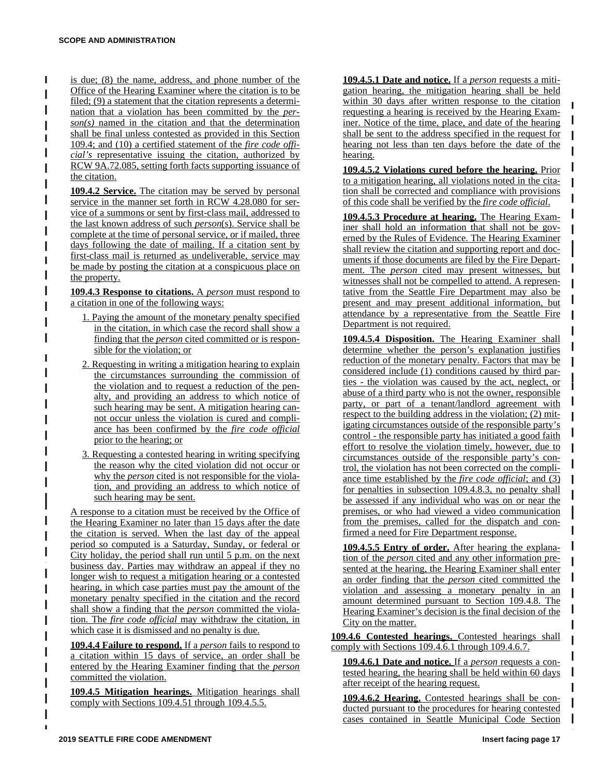Ï

ı

I

Ī is due; (8) the name, address, and phone number of the Office of the Hearing Examiner where the citation is to be filed; (9) a statement that the citation represents a determination that a violation has been committed by the *person(s)* named in the citation and that the determination shall be final unless contested as provided in this Section Т 109.4; and (10) a certified statement of the *fire code official's* representative issuing the citation, authorized by RCW 9A.72.085, setting forth facts supporting issuance of the citation.

**109.4.2 Service.** The citation may be served by personal service in the manner set forth in RCW 4.28.080 for service of a summons or sent by first-class mail, addressed to the last known address of such *person*(s). Service shall be complete at the time of personal service, or if mailed, three days following the date of mailing. If a citation sent by first-class mail is returned as undeliverable, service may be made by posting the citation at a conspicuous place on the property.

**109.4.3 Response to citations.** A *person* must respond to a citation in one of the following ways:

- 1. Paying the amount of the monetary penalty specified in the citation, in which case the record shall show a finding that the *person* cited committed or is responsible for the violation; or
- 2. Requesting in writing a mitigation hearing to explain the circumstances surrounding the commission of the violation and to request a reduction of the penalty, and providing an address to which notice of such hearing may be sent. A mitigation hearing cannot occur unless the violation is cured and compliance has been confirmed by the *fire code official* prior to the hearing; or
- 3. Requesting a contested hearing in writing specifying the reason why the cited violation did not occur or why the *person* cited is not responsible for the violation, and providing an address to which notice of such hearing may be sent.

A response to a citation must be received by the Office of the Hearing Examiner no later than 15 days after the date the citation is served. When the last day of the appeal period so computed is a Saturday, Sunday, or federal or City holiday, the period shall run until 5 p.m. on the next business day. Parties may withdraw an appeal if they no longer wish to request a mitigation hearing or a contested hearing, in which case parties must pay the amount of the monetary penalty specified in the citation and the record shall show a finding that the *person* committed the violation. The *fire code official* may withdraw the citation, in which case it is dismissed and no penalty is due.

**109.4.4 Failure to respond.** If a *person* fails to respond to a citation within 15 days of service, an order shall be entered by the Hearing Examiner finding that the *person* committed the violation.

**109.4.5 Mitigation hearings.** Mitigation hearings shall comply with Sections 109.4.51 through 109.4.5.5.

**109.4.5.1 Date and notice.** If a *person* requests a mitigation hearing, the mitigation hearing shall be held within 30 days after written response to the citation requesting a hearing is received by the Hearing Examiner. Notice of the time, place, and date of the hearing shall be sent to the address specified in the request for hearing not less than ten days before the date of the hearing.

**109.4.5.2 Violations cured before the hearing.** Prior to a mitigation hearing, all violations noted in the citation shall be corrected and compliance with provisions of this code shall be verified by the *fire code official*.

**109.4.5.3 Procedure at hearing.** The Hearing Examiner shall hold an information that shall not be governed by the Rules of Evidence. The Hearing Examiner shall review the citation and supporting report and documents if those documents are filed by the Fire Department. The *person* cited may present witnesses, but witnesses shall not be compelled to attend. A representative from the Seattle Fire Department may also be present and may present additional information, but attendance by a representative from the Seattle Fire Department is not required.

**109.4.5.4 Disposition.** The Hearing Examiner shall determine whether the person's explanation justifies reduction of the monetary penalty. Factors that may be considered include (1) conditions caused by third parties - the violation was caused by the act, neglect, or abuse of a third party who is not the owner, responsible party, or part of a tenant/landlord agreement with respect to the building address in the violation; (2) mitigating circumstances outside of the responsible party's control - the responsible party has initiated a good faith effort to resolve the violation timely, however, due to circumstances outside of the responsible party's control, the violation has not been corrected on the compliance time established by the *fire code official*; and (3) for penalties in subsection 109.4.8.3, no penalty shall be assessed if any individual who was on or near the premises, or who had viewed a video communication from the premises, called for the dispatch and confirmed a need for Fire Department response.

**109.4.5.5 Entry of order.** After hearing the explanation of the *person* cited and any other information presented at the hearing, the Hearing Examiner shall enter an order finding that the *person* cited committed the violation and assessing a monetary penalty in an amount determined pursuant to Section 109.4.8. The Hearing Examiner's decision is the final decision of the City on the matter.

**109.4.6 Contested hearings.** Contested hearings shall comply with Sections 109.4.6.1 through 109.4.6.7.

**109.4.6.1 Date and notice.** If a *person* requests a contested hearing, the hearing shall be held within 60 days after receipt of the hearing request.

**109.4.6.2 Hearing.** Contested hearings shall be conducted pursuant to the procedures for hearing contested cases contained in Seattle Municipal Code Section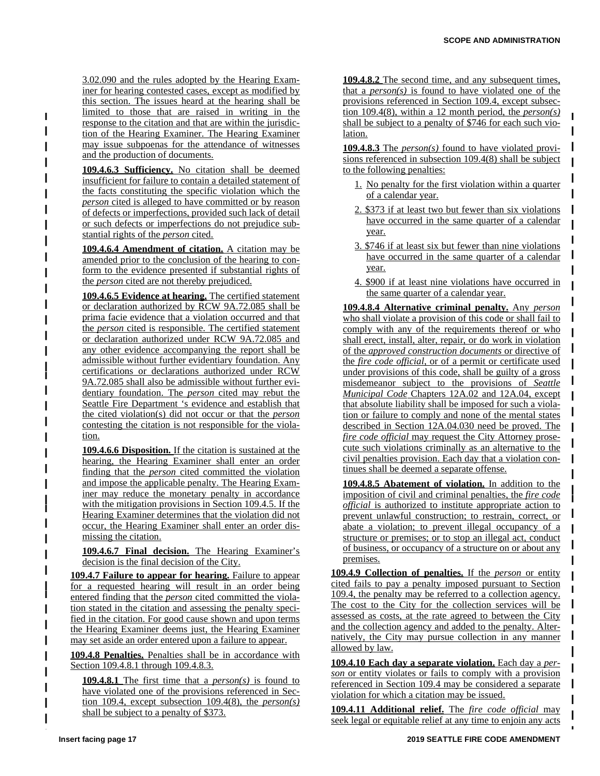3.02.090 and the rules adopted by the Hearing Examiner for hearing contested cases, except as modified by this section. The issues heard at the hearing shall be limited to those that are raised in writing in the response to the citation and that are within the jurisdiction of the Hearing Examiner. The Hearing Examiner may issue subpoenas for the attendance of witnesses and the production of documents.

I

**109.4.6.3 Sufficiency.** No citation shall be deemed insufficient for failure to contain a detailed statement of the facts constituting the specific violation which the *person* cited is alleged to have committed or by reason of defects or imperfections, provided such lack of detail or such defects or imperfections do not prejudice substantial rights of the *person* cited.

**109.4.6.4 Amendment of citation.** A citation may be amended prior to the conclusion of the hearing to conform to the evidence presented if substantial rights of the *person* cited are not thereby prejudiced.

**109.4.6.5 Evidence at hearing.** The certified statement or declaration authorized by RCW 9A.72.085 shall be prima facie evidence that a violation occurred and that the *person* cited is responsible. The certified statement or declaration authorized under RCW 9A.72.085 and any other evidence accompanying the report shall be admissible without further evidentiary foundation. Any certifications or declarations authorized under RCW 9A.72.085 shall also be admissible without further evidentiary foundation. The *person* cited may rebut the Seattle Fire Department 's evidence and establish that the cited violation(s) did not occur or that the *person* contesting the citation is not responsible for the violation.

**109.4.6.6 Disposition.** If the citation is sustained at the hearing, the Hearing Examiner shall enter an order finding that the *person* cited committed the violation and impose the applicable penalty. The Hearing Examiner may reduce the monetary penalty in accordance with the mitigation provisions in Section 109.4.5. If the Hearing Examiner determines that the violation did not occur, the Hearing Examiner shall enter an order dismissing the citation.

**109.4.6.7 Final decision.** The Hearing Examiner's decision is the final decision of the City.

**109.4.7 Failure to appear for hearing.** Failure to appear for a requested hearing will result in an order being entered finding that the *person* cited committed the violation stated in the citation and assessing the penalty specified in the citation. For good cause shown and upon terms the Hearing Examiner deems just, the Hearing Examiner may set aside an order entered upon a failure to appear.

**109.4.8 Penalties.** Penalties shall be in accordance with Section 109.4.8.1 through 109.4.8.3.

**109.4.8.1** The first time that a *person(s)* is found to have violated one of the provisions referenced in Section 109.4, except subsection 109.4(8), the *person(s)* shall be subject to a penalty of \$373.

**109.4.8.2** The second time, and any subsequent times, that a *person(s)* is found to have violated one of the provisions referenced in Section 109.4, except subsection 109.4(8), within a 12 month period, the *person(s)* shall be subject to a penalty of \$746 for each such violation.

**109.4.8.3** The *person(s)* found to have violated provisions referenced in subsection 109.4(8) shall be subject to the following penalties:

- 1. No penalty for the first violation within a quarter of a calendar year.
- 2. \$373 if at least two but fewer than six violations have occurred in the same quarter of a calendar year.
- 3. \$746 if at least six but fewer than nine violations have occurred in the same quarter of a calendar year.
- 4. \$900 if at least nine violations have occurred in the same quarter of a calendar year.

**109.4.8.4 Alternative criminal penalty.** Any *person* who shall violate a provision of this code or shall fail to comply with any of the requirements thereof or who shall erect, install, alter, repair, or do work in violation of the *approved construction documents* or directive of the *fire code official*, or of a permit or certificate used under provisions of this code, shall be guilty of a gross misdemeanor subject to the provisions of *Seattle Municipal Code* Chapters 12A.02 and 12A.04, except that absolute liability shall be imposed for such a violation or failure to comply and none of the mental states described in Section 12A.04.030 need be proved. The *fire code official* may request the City Attorney prosecute such violations criminally as an alternative to the civil penalties provision. Each day that a violation continues shall be deemed a separate offense.

**109.4.8.5 Abatement of violation.** In addition to the imposition of civil and criminal penalties, the *fire code official* is authorized to institute appropriate action to prevent unlawful construction; to restrain, correct, or abate a violation; to prevent illegal occupancy of a structure or premises; or to stop an illegal act, conduct of business, or occupancy of a structure on or about any premises.

**109.4.9 Collection of penalties.** If the *person* or entity cited fails to pay a penalty imposed pursuant to Section 109.4, the penalty may be referred to a collection agency. The cost to the City for the collection services will be assessed as costs, at the rate agreed to between the City and the collection agency and added to the penalty. Alternatively, the City may pursue collection in any manner allowed by law.

**109.4.10 Each day a separate violation.** Each day a *person* or entity violates or fails to comply with a provision referenced in Section 109.4 may be considered a separate violation for which a citation may be issued.

**109.4.11 Additional relief.** The *fire code official* may seek legal or equitable relief at any time to enjoin any acts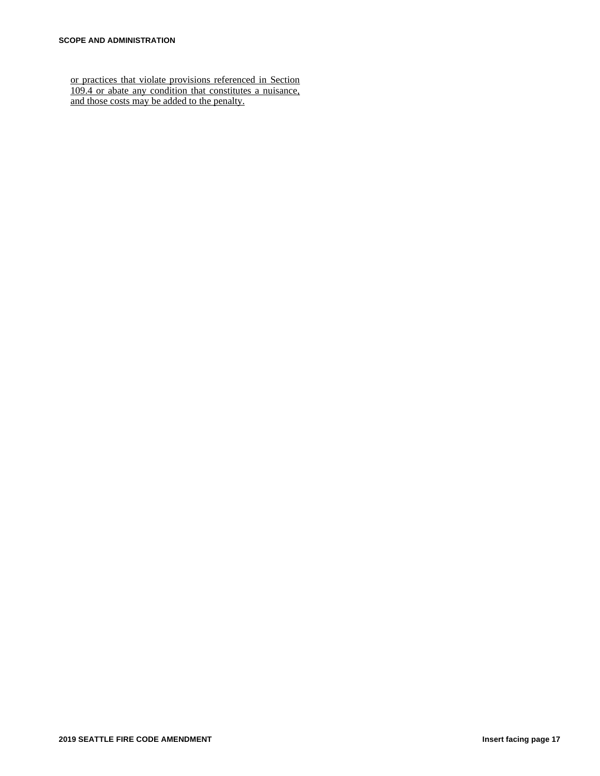or practices that violate provisions referenced in Section 109.4 or abate any condition that constitutes a nuisance, and those costs may be added to the penalty.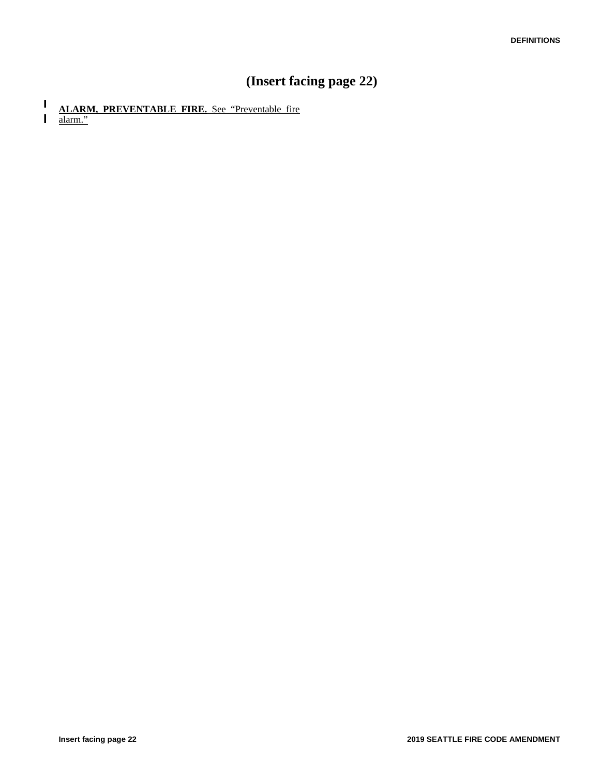# **(Insert facing page 22)**

 $\mathbf{I}$ **ALARM, PREVENTABLE FIRE.** See "Preventable fire  $\mathbf{I}$ alarm."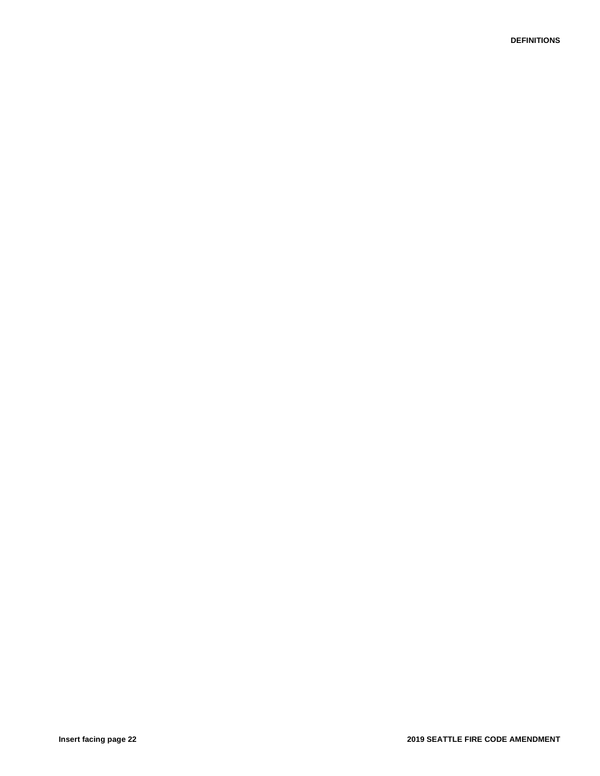#### **DEFINITIONS**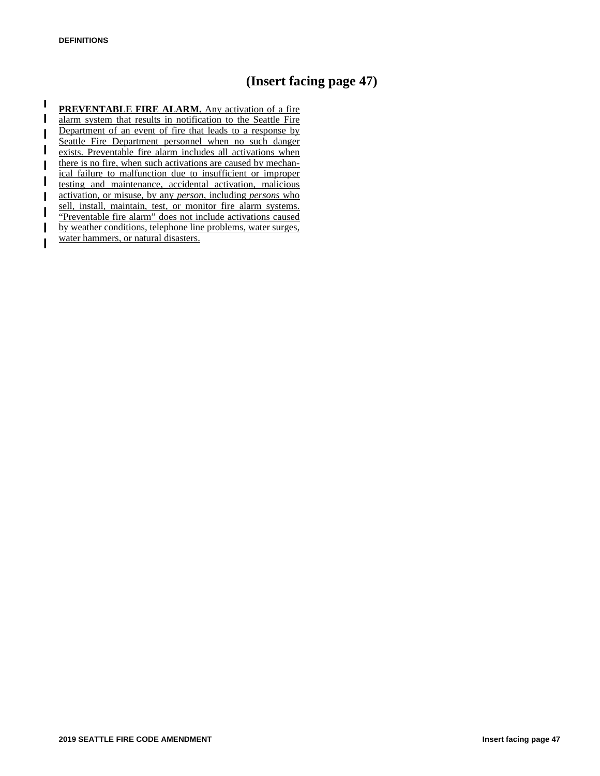#### **(Insert facing page 47)**

 $\blacksquare$ **PREVENTABLE FIRE ALARM.** Any activation of a fire  $\overline{\phantom{a}}$ alarm system that results in notification to the Seattle Fire Department of an event of fire that leads to a response by  $\mathbf{I}$ Seattle Fire Department personnel when no such danger I exists. Preventable fire alarm includes all activations when there is no fire, when such activations are caused by mechan-I ical failure to malfunction due to insufficient or improper testing and maintenance, accidental activation, malicious activation, or misuse, by any *person*, including *persons* who sell, install, maintain, test, or monitor fire alarm systems. "Preventable fire alarm" does not include activations caused by weather conditions, telephone line problems, water surges, water hammers, or natural disasters.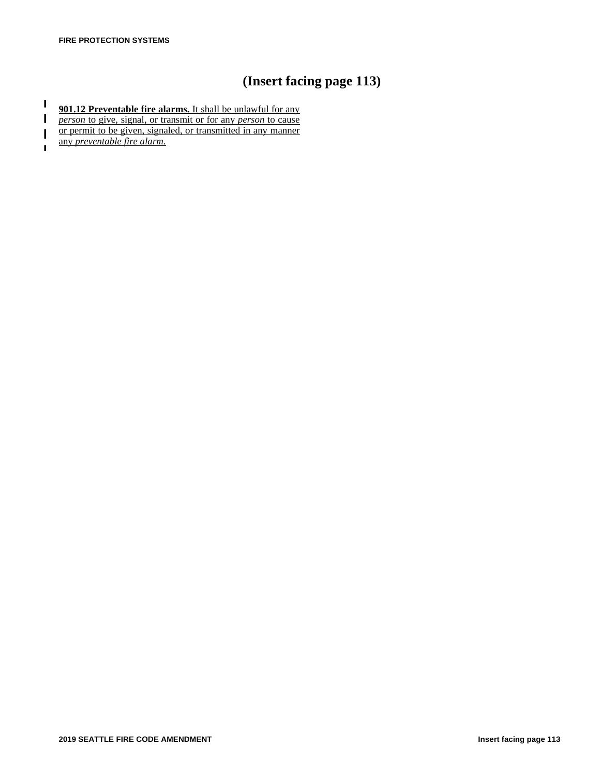## **(Insert facing page 113)**

 $\mathbf{I}$ **901.12 Preventable fire alarms.** It shall be unlawful for any  $\mathbf{I}$ 

*person* to give, signal, or transmit or for any *person* to cause

or permit to be given, signaled, or transmitted in any manner

any *preventable fire alarm*.

 $\overline{\phantom{a}}$  $\blacksquare$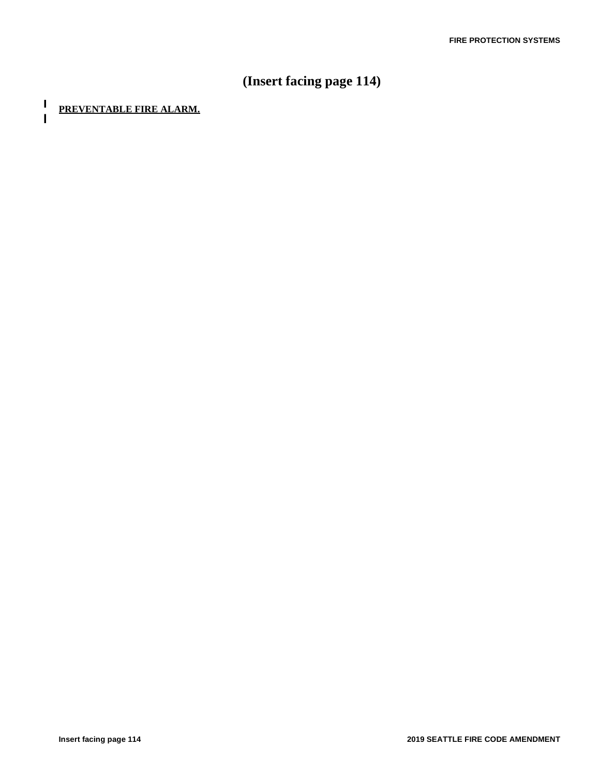# **(Insert facing page 114)**

#### $\frac{1}{1}$ **PREVENTABLE FIRE ALARM.**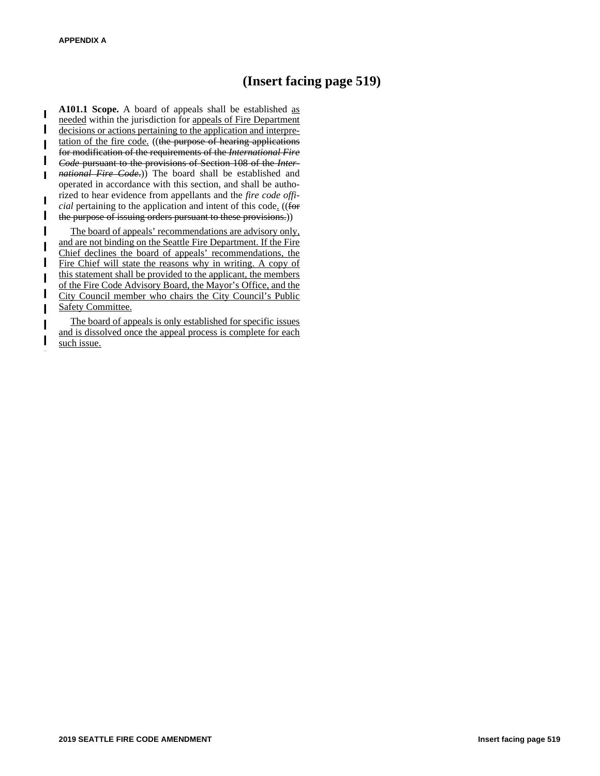$\blacksquare$ I

I

Ι I

#### **(Insert facing page 519)**

**A101.1 Scope.** A board of appeals shall be established as needed within the jurisdiction for appeals of Fire Department decisions or actions pertaining to the application and interpretation of the fire code. ((the purpose of hearing applications for modification of the requirements of the *International Fire Code* pursuant to the provisions of Section 108 of the *International Fire Code*.)) The board shall be established and operated in accordance with this section, and shall be authorized to hear evidence from appellants and the *fire code official* pertaining to the application and intent of this code. ((for the purpose of issuing orders pursuant to these provisions.))

The board of appeals' recommendations are advisory only, and are not binding on the Seattle Fire Department. If the Fire Chief declines the board of appeals' recommendations, the Fire Chief will state the reasons why in writing. A copy of this statement shall be provided to the applicant, the members of the Fire Code Advisory Board, the Mayor's Office, and the City Council member who chairs the City Council's Public Safety Committee.

The board of appeals is only established for specific issues and is dissolved once the appeal process is complete for each such issue.